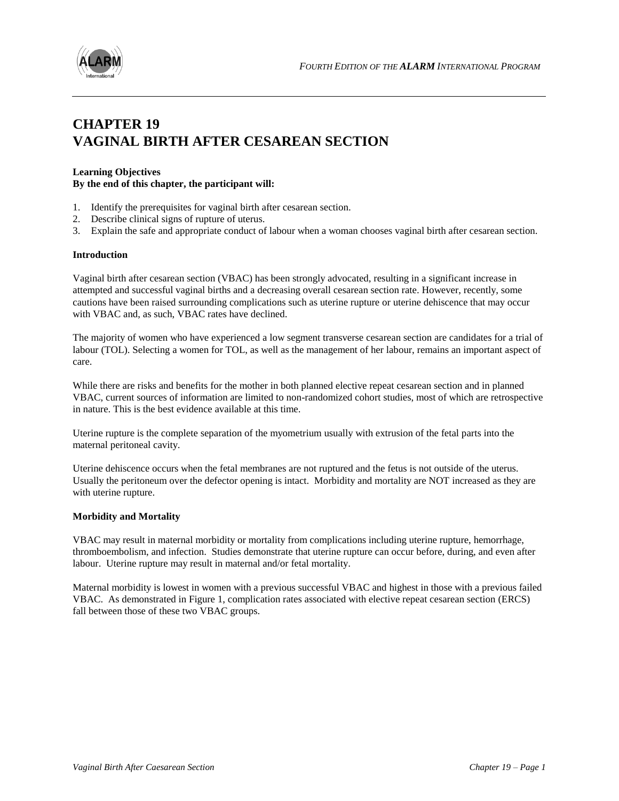



# **CHAPTER 19 VAGINAL BIRTH AFTER CESAREAN SECTION**

## **Learning Objectives By the end of this chapter, the participant will:**

- 1. Identify the prerequisites for vaginal birth after cesarean section.
- 2. Describe clinical signs of rupture of uterus.
- 3. Explain the safe and appropriate conduct of labour when a woman chooses vaginal birth after cesarean section.

#### **Introduction**

Vaginal birth after cesarean section (VBAC) has been strongly advocated, resulting in a significant increase in attempted and successful vaginal births and a decreasing overall cesarean section rate. However, recently, some cautions have been raised surrounding complications such as uterine rupture or uterine dehiscence that may occur with VBAC and, as such, VBAC rates have declined.

The majority of women who have experienced a low segment transverse cesarean section are candidates for a trial of labour (TOL). Selecting a women for TOL, as well as the management of her labour, remains an important aspect of care.

While there are risks and benefits for the mother in both planned elective repeat cesarean section and in planned VBAC, current sources of information are limited to non-randomized cohort studies, most of which are retrospective in nature. This is the best evidence available at this time.

Uterine rupture is the complete separation of the myometrium usually with extrusion of the fetal parts into the maternal peritoneal cavity.

Uterine dehiscence occurs when the fetal membranes are not ruptured and the fetus is not outside of the uterus. Usually the peritoneum over the defector opening is intact. Morbidity and mortality are NOT increased as they are with uterine rupture.

#### **Morbidity and Mortality**

VBAC may result in maternal morbidity or mortality from complications including uterine rupture, hemorrhage, thromboembolism, and infection. Studies demonstrate that uterine rupture can occur before, during, and even after labour. Uterine rupture may result in maternal and/or fetal mortality.

Maternal morbidity is lowest in women with a previous successful VBAC and highest in those with a previous failed VBAC. As demonstrated in Figure 1, complication rates associated with elective repeat cesarean section (ERCS) fall between those of these two VBAC groups.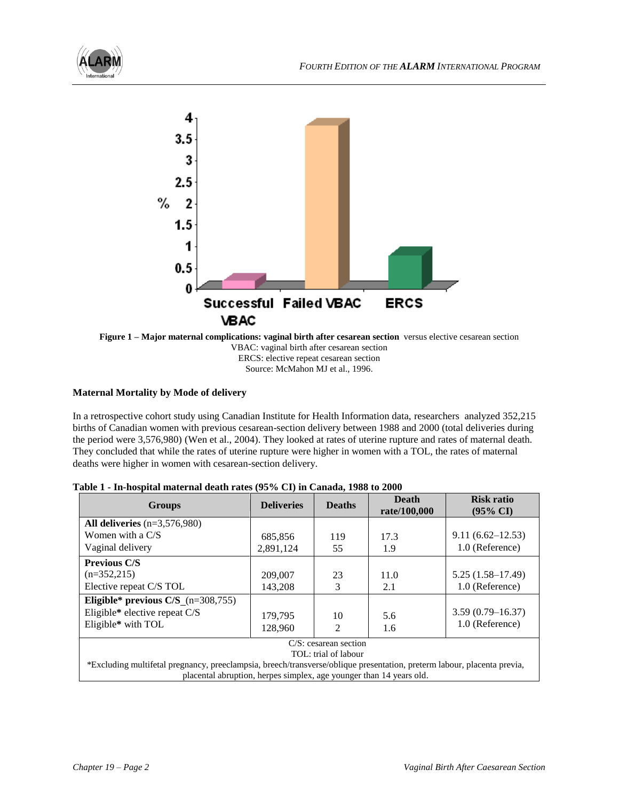



**Figure 1 – Major maternal complications: vaginal birth after cesarean section** versus elective cesarean section VBAC: vaginal birth after cesarean section ERCS: elective repeat cesarean section Source: McMahon MJ et al., 1996.

## **Maternal Mortality by Mode of delivery**

In a retrospective cohort study using Canadian Institute for Health Information data, researchers analyzed 352,215 births of Canadian women with previous cesarean-section delivery between 1988 and 2000 (total deliveries during the period were 3,576,980) (Wen et al., 2004). They looked at rates of uterine rupture and rates of maternal death. They concluded that while the rates of uterine rupture were higher in women with a TOL, the rates of maternal deaths were higher in women with cesarean-section delivery.

| <b>Groups</b>                                                                                                           | <b>Deliveries</b> | <b>Deaths</b>  | <b>Death</b><br>rate/100,000 | <b>Risk ratio</b><br>$(95\% \text{ CI})$ |  |
|-------------------------------------------------------------------------------------------------------------------------|-------------------|----------------|------------------------------|------------------------------------------|--|
| All deliveries $(n=3,576,980)$                                                                                          |                   |                |                              |                                          |  |
| Women with a $C/S$                                                                                                      | 685,856           | 119            | 17.3                         | $9.11(6.62 - 12.53)$                     |  |
| Vaginal delivery                                                                                                        | 2.891.124         | 55             | 1.9                          | 1.0 (Reference)                          |  |
| <b>Previous C/S</b>                                                                                                     |                   |                |                              |                                          |  |
| $(n=352,215)$                                                                                                           | 209,007           | 23             | 11.0                         | $5.25(1.58-17.49)$                       |  |
| Elective repeat C/S TOL                                                                                                 | 143,208           | 3              | 2.1                          | 1.0 (Reference)                          |  |
| Eligible* previous $C/S_{(n=308,755)}$                                                                                  |                   |                |                              |                                          |  |
| Eligible* elective repeat C/S                                                                                           | 179.795           | 10             | 5.6                          | $3.59(0.79 - 16.37)$                     |  |
| Eligible* with TOL                                                                                                      | 128,960           | $\mathfrak{D}$ | 1.6                          | 1.0 (Reference)                          |  |
| $C/S$ : cesarean section                                                                                                |                   |                |                              |                                          |  |
| TOL: trial of labour                                                                                                    |                   |                |                              |                                          |  |
| *Excluding multifetal pregnancy, preeclampsia, breech/transverse/oblique presentation, preterm labour, placenta previa, |                   |                |                              |                                          |  |
| placental abruption, herpes simplex, age younger than 14 years old.                                                     |                   |                |                              |                                          |  |

| Table 1 - In-hospital maternal death rates (95% CI) in Canada, 1988 to 2000 |  |  |
|-----------------------------------------------------------------------------|--|--|
|-----------------------------------------------------------------------------|--|--|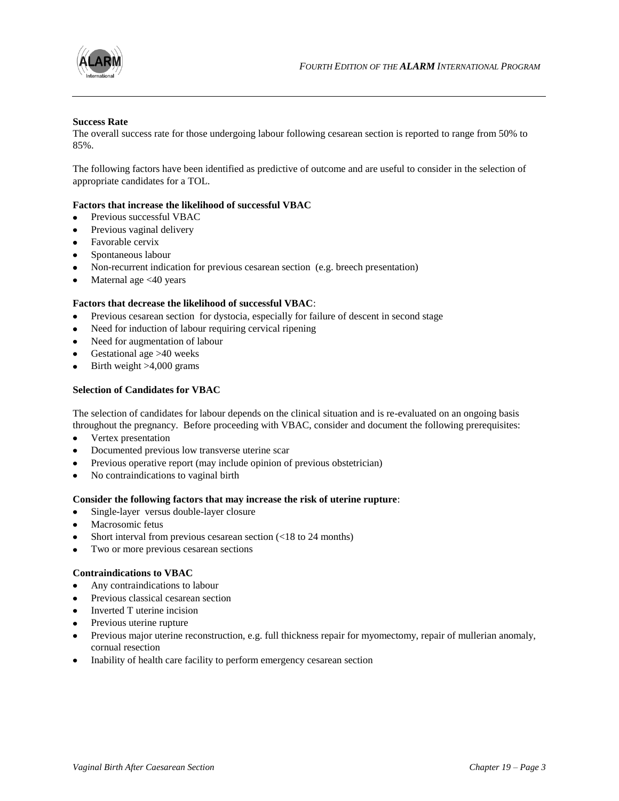

#### **Success Rate**

The overall success rate for those undergoing labour following cesarean section is reported to range from 50% to 85%.

The following factors have been identified as predictive of outcome and are useful to consider in the selection of appropriate candidates for a TOL.

## **Factors that increase the likelihood of successful VBAC**

- Previous successful VBAC
- Previous vaginal delivery
- $\bullet$ Favorable cervix
- Spontaneous labour  $\bullet$
- Non-recurrent indication for previous cesarean section (e.g. breech presentation)
- Maternal age <40 years  $\bullet$

#### **Factors that decrease the likelihood of successful VBAC**:

- Previous cesarean section for dystocia, especially for failure of descent in second stage  $\bullet$
- Need for induction of labour requiring cervical ripening
- Need for augmentation of labour
- Gestational age >40 weeks
- Birth weight >4,000 grams

#### **Selection of Candidates for VBAC**

The selection of candidates for labour depends on the clinical situation and is re-evaluated on an ongoing basis throughout the pregnancy. Before proceeding with VBAC, consider and document the following prerequisites:

- Vertex presentation
- Documented previous low transverse uterine scar
- Previous operative report (may include opinion of previous obstetrician)
- No contraindications to vaginal birth  $\bullet$

#### **Consider the following factors that may increase the risk of uterine rupture**:

- Single-layer versus double-layer closure
- Macrosomic fetus
- Short interval from previous cesarean section (<18 to 24 months)
- Two or more previous cesarean sections  $\bullet$

#### **Contraindications to VBAC**

- Any contraindications to labour
- Previous classical cesarean section
- Inverted T uterine incision
- Previous uterine rupture
- $\bullet$ Previous major uterine reconstruction, e.g. full thickness repair for myomectomy, repair of mullerian anomaly, cornual resection
- Inability of health care facility to perform emergency cesarean section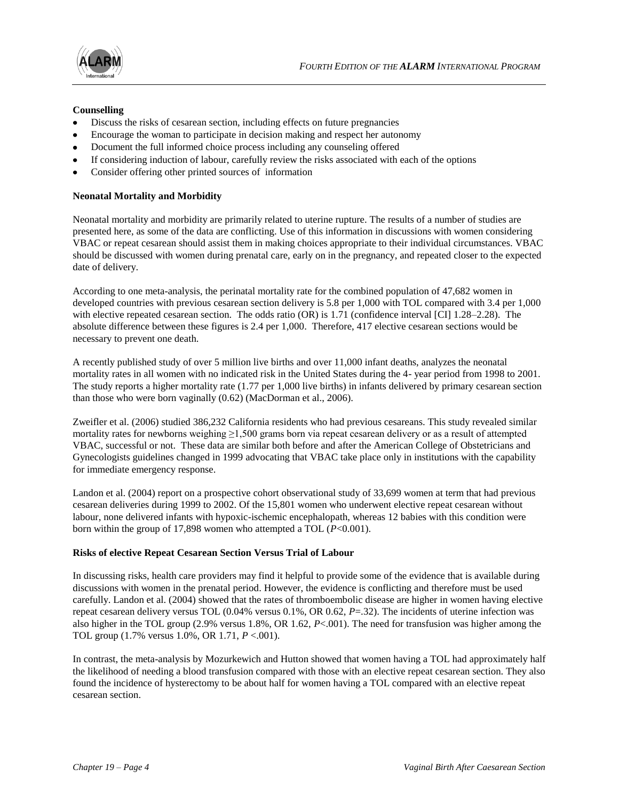

#### **Counselling**

- Discuss the risks of cesarean section, including effects on future pregnancies
- Encourage the woman to participate in decision making and respect her autonomy
- Document the full informed choice process including any counseling offered
- If considering induction of labour, carefully review the risks associated with each of the options
- Consider offering other printed sources of information

## **Neonatal Mortality and Morbidity**

Neonatal mortality and morbidity are primarily related to uterine rupture. The results of a number of studies are presented here, as some of the data are conflicting. Use of this information in discussions with women considering VBAC or repeat cesarean should assist them in making choices appropriate to their individual circumstances. VBAC should be discussed with women during prenatal care, early on in the pregnancy, and repeated closer to the expected date of delivery.

According to one meta-analysis, the perinatal mortality rate for the combined population of 47,682 women in developed countries with previous cesarean section delivery is 5.8 per 1,000 with TOL compared with 3.4 per 1,000 with elective repeated cesarean section. The odds ratio (OR) is 1.71 (confidence interval [CI] 1.28–2.28). The absolute difference between these figures is 2.4 per 1,000. Therefore, 417 elective cesarean sections would be necessary to prevent one death.

A recently published study of over 5 million live births and over 11,000 infant deaths, analyzes the neonatal mortality rates in all women with no indicated risk in the United States during the 4- year period from 1998 to 2001. The study reports a higher mortality rate (1.77 per 1,000 live births) in infants delivered by primary cesarean section than those who were born vaginally (0.62) (MacDorman et al., 2006).

Zweifler et al. (2006) studied 386,232 California residents who had previous cesareans. This study revealed similar mortality rates for newborns weighing ≥1,500 grams born via repeat cesarean delivery or as a result of attempted VBAC, successful or not. These data are similar both before and after the American College of Obstetricians and Gynecologists guidelines changed in 1999 advocating that VBAC take place only in institutions with the capability for immediate emergency response.

Landon et al. (2004) report on a prospective cohort observational study of 33,699 women at term that had previous cesarean deliveries during 1999 to 2002. Of the 15,801 women who underwent elective repeat cesarean without labour, none delivered infants with hypoxic-ischemic encephalopath, whereas 12 babies with this condition were born within the group of 17,898 women who attempted a TOL (*P*<0.001).

## **Risks of elective Repeat Cesarean Section Versus Trial of Labour**

In discussing risks, health care providers may find it helpful to provide some of the evidence that is available during discussions with women in the prenatal period. However, the evidence is conflicting and therefore must be used carefully. Landon et al. (2004) showed that the rates of thromboembolic disease are higher in women having elective repeat cesarean delivery versus TOL (0.04% versus 0.1%, OR 0.62, *P*=.32). The incidents of uterine infection was also higher in the TOL group (2.9% versus 1.8%, OR 1.62, *P*<.001). The need for transfusion was higher among the TOL group (1.7% versus 1.0%, OR 1.71, *P* <.001).

In contrast, the meta-analysis by Mozurkewich and Hutton showed that women having a TOL had approximately half the likelihood of needing a blood transfusion compared with those with an elective repeat cesarean section. They also found the incidence of hysterectomy to be about half for women having a TOL compared with an elective repeat cesarean section.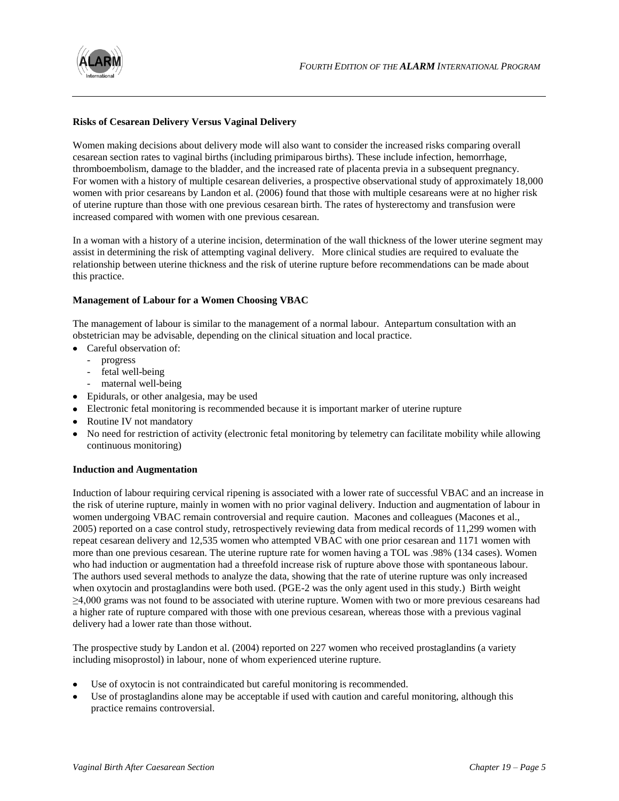

## **Risks of Cesarean Delivery Versus Vaginal Delivery**

Women making decisions about delivery mode will also want to consider the increased risks comparing overall cesarean section rates to vaginal births (including primiparous births). These include infection, hemorrhage, thromboembolism, damage to the bladder, and the increased rate of placenta previa in a subsequent pregnancy. For women with a history of multiple cesarean deliveries, a prospective observational study of approximately 18,000 women with prior cesareans by Landon et al. (2006) found that those with multiple cesareans were at no higher risk of uterine rupture than those with one previous cesarean birth. The rates of hysterectomy and transfusion were increased compared with women with one previous cesarean.

In a woman with a history of a uterine incision, determination of the wall thickness of the lower uterine segment may assist in determining the risk of attempting vaginal delivery. More clinical studies are required to evaluate the relationship between uterine thickness and the risk of uterine rupture before recommendations can be made about this practice.

## **Management of Labour for a Women Choosing VBAC**

The management of labour is similar to the management of a normal labour. Antepartum consultation with an obstetrician may be advisable, depending on the clinical situation and local practice.

- Careful observation of:
	- progress
	- fetal well-being
	- maternal well-being
- Epidurals, or other analgesia, may be used
- Electronic fetal monitoring is recommended because it is important marker of uterine rupture
- Routine IV not mandatory
- No need for restriction of activity (electronic fetal monitoring by telemetry can facilitate mobility while allowing continuous monitoring)

## **Induction and Augmentation**

Induction of labour requiring cervical ripening is associated with a lower rate of successful VBAC and an increase in the risk of uterine rupture, mainly in women with no prior vaginal delivery. Induction and augmentation of labour in women undergoing VBAC remain controversial and require caution. Macones and colleagues (Macones et al., 2005) reported on a case control study, retrospectively reviewing data from medical records of 11,299 women with repeat cesarean delivery and 12,535 women who attempted VBAC with one prior cesarean and 1171 women with more than one previous cesarean. The uterine rupture rate for women having a TOL was .98% (134 cases). Women who had induction or augmentation had a threefold increase risk of rupture above those with spontaneous labour. The authors used several methods to analyze the data, showing that the rate of uterine rupture was only increased when oxytocin and prostaglandins were both used. (PGE-2 was the only agent used in this study.) Birth weight ≥4,000 grams was not found to be associated with uterine rupture. Women with two or more previous cesareans had a higher rate of rupture compared with those with one previous cesarean, whereas those with a previous vaginal delivery had a lower rate than those without.

The prospective study by Landon et al. (2004) reported on 227 women who received prostaglandins (a variety including misoprostol) in labour, none of whom experienced uterine rupture.

- Use of oxytocin is not contraindicated but careful monitoring is recommended.
- Use of prostaglandins alone may be acceptable if used with caution and careful monitoring, although this practice remains controversial.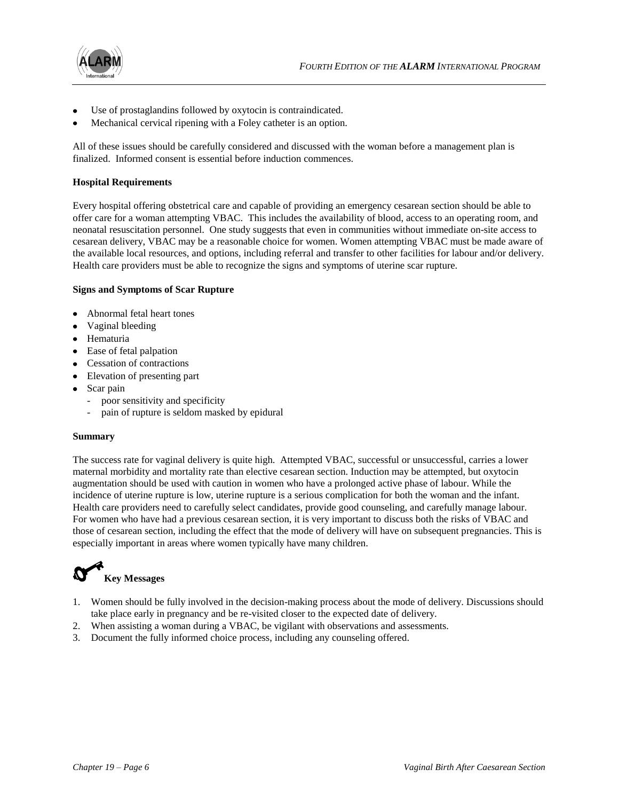

- Use of prostaglandins followed by oxytocin is contraindicated.
- Mechanical cervical ripening with a Foley catheter is an option.

All of these issues should be carefully considered and discussed with the woman before a management plan is finalized. Informed consent is essential before induction commences.

## **Hospital Requirements**

Every hospital offering obstetrical care and capable of providing an emergency cesarean section should be able to offer care for a woman attempting VBAC. This includes the availability of blood, access to an operating room, and neonatal resuscitation personnel. One study suggests that even in communities without immediate on-site access to cesarean delivery, VBAC may be a reasonable choice for women. Women attempting VBAC must be made aware of the available local resources, and options, including referral and transfer to other facilities for labour and/or delivery. Health care providers must be able to recognize the signs and symptoms of uterine scar rupture.

#### **Signs and Symptoms of Scar Rupture**

- Abnormal fetal heart tones
- Vaginal bleeding
- Hematuria
- Ease of fetal palpation
- Cessation of contractions
- Elevation of presenting part
- Scar pain
	- poor sensitivity and specificity
	- pain of rupture is seldom masked by epidural

#### **Summary**

The success rate for vaginal delivery is quite high. Attempted VBAC, successful or unsuccessful, carries a lower maternal morbidity and mortality rate than elective cesarean section. Induction may be attempted, but oxytocin augmentation should be used with caution in women who have a prolonged active phase of labour. While the incidence of uterine rupture is low, uterine rupture is a serious complication for both the woman and the infant. Health care providers need to carefully select candidates, provide good counseling, and carefully manage labour. For women who have had a previous cesarean section, it is very important to discuss both the risks of VBAC and those of cesarean section, including the effect that the mode of delivery will have on subsequent pregnancies. This is especially important in areas where women typically have many children.



- 1. Women should be fully involved in the decision-making process about the mode of delivery. Discussions should take place early in pregnancy and be re-visited closer to the expected date of delivery.
- 2. When assisting a woman during a VBAC, be vigilant with observations and assessments.
- 3. Document the fully informed choice process, including any counseling offered.